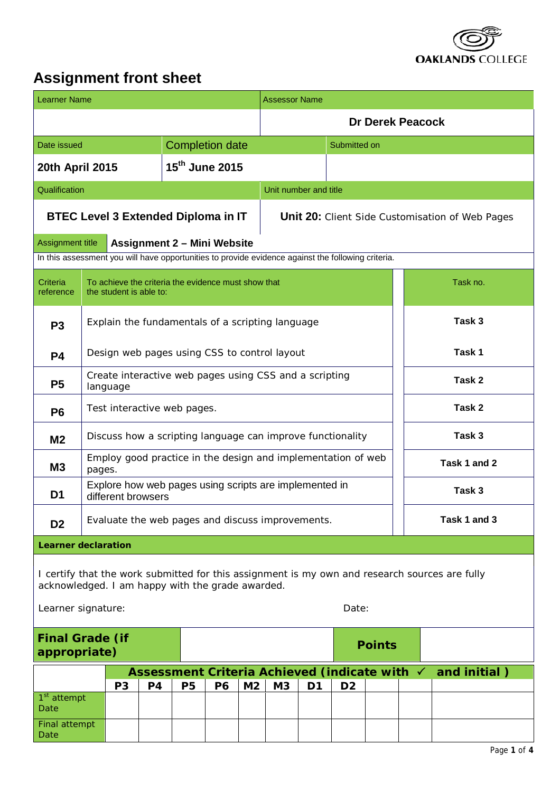

# **Assignment front sheet**

| <b>Learner Name</b>                                                                                                                                                               |                                                                              |                         |                |                                                     |                        | Assessor Name  |                                                        |                |                |                         |  |                   |  |  |
|-----------------------------------------------------------------------------------------------------------------------------------------------------------------------------------|------------------------------------------------------------------------------|-------------------------|----------------|-----------------------------------------------------|------------------------|----------------|--------------------------------------------------------|----------------|----------------|-------------------------|--|-------------------|--|--|
|                                                                                                                                                                                   |                                                                              |                         |                |                                                     |                        |                |                                                        |                |                | <b>Dr Derek Peacock</b> |  |                   |  |  |
| Date issued                                                                                                                                                                       |                                                                              |                         |                |                                                     | <b>Completion date</b> |                |                                                        | Submitted on   |                |                         |  |                   |  |  |
| 20th April 2015                                                                                                                                                                   |                                                                              |                         |                | 15 <sup>th</sup> June 2015                          |                        |                |                                                        |                |                |                         |  |                   |  |  |
| Qualification                                                                                                                                                                     |                                                                              |                         |                |                                                     |                        |                | Unit number and title                                  |                |                |                         |  |                   |  |  |
|                                                                                                                                                                                   |                                                                              |                         |                | <b>BTEC Level 3 Extended Diploma in IT</b>          |                        |                | <b>Unit 20:</b> Client Side Customisation of Web Pages |                |                |                         |  |                   |  |  |
| <b>Assignment title</b><br>In this assessment you will have opportunities to provide evidence against the following criteria.                                                     |                                                                              |                         |                | <b>Assignment 2 - Mini Website</b>                  |                        |                |                                                        |                |                |                         |  |                   |  |  |
| Criteria<br>reference                                                                                                                                                             |                                                                              | the student is able to: |                | To achieve the criteria the evidence must show that |                        |                |                                                        |                |                |                         |  | Task no.          |  |  |
| P <sub>3</sub>                                                                                                                                                                    |                                                                              |                         |                |                                                     |                        |                | Explain the fundamentals of a scripting language       |                |                |                         |  | Task <sub>3</sub> |  |  |
| <b>P4</b>                                                                                                                                                                         |                                                                              |                         |                | Design web pages using CSS to control layout        |                        |                |                                                        |                |                |                         |  | Task 1            |  |  |
| P <sub>5</sub>                                                                                                                                                                    | Create interactive web pages using CSS and a scripting<br>Task 2<br>language |                         |                |                                                     |                        |                |                                                        |                |                |                         |  |                   |  |  |
| Test interactive web pages.<br>P <sub>6</sub>                                                                                                                                     |                                                                              |                         |                |                                                     |                        |                |                                                        |                |                |                         |  | Task 2            |  |  |
| M <sub>2</sub>                                                                                                                                                                    | Discuss how a scripting language can improve functionality                   |                         |                |                                                     |                        |                | Task 3                                                 |                |                |                         |  |                   |  |  |
| M <sub>3</sub>                                                                                                                                                                    | Employ good practice in the design and implementation of web<br>pages.       |                         |                |                                                     |                        |                |                                                        |                |                | Task 1 and 2            |  |                   |  |  |
| Explore how web pages using scripts are implemented in<br>Task 3<br>D <sub>1</sub><br>different browsers                                                                          |                                                                              |                         |                |                                                     |                        |                |                                                        |                |                |                         |  |                   |  |  |
| D <sub>2</sub>                                                                                                                                                                    |                                                                              |                         |                | Evaluate the web pages and discuss improvements.    |                        |                |                                                        | Task 1 and 3   |                |                         |  |                   |  |  |
| <b>Learner declaration</b>                                                                                                                                                        |                                                                              |                         |                |                                                     |                        |                |                                                        |                |                |                         |  |                   |  |  |
| I certify that the work submitted for this assignment is my own and research sources are fully<br>acknowledged. I am happy with the grade awarded.<br>Date:<br>Learner signature: |                                                                              |                         |                |                                                     |                        |                |                                                        |                |                |                         |  |                   |  |  |
| <b>Final Grade (if</b><br>appropriate)                                                                                                                                            |                                                                              |                         |                |                                                     |                        |                |                                                        | <b>Points</b>  |                |                         |  |                   |  |  |
|                                                                                                                                                                                   |                                                                              |                         |                | <b>Assessment Criteria Achieved (indicate with</b>  |                        |                |                                                        |                |                |                         |  | and initial)      |  |  |
| 1 <sup>st</sup> attempt<br>Date                                                                                                                                                   |                                                                              | P <sub>3</sub>          | P <sub>4</sub> | <b>P5</b>                                           | <b>P6</b>              | M <sub>2</sub> | M3                                                     | D <sub>1</sub> | D <sub>2</sub> |                         |  |                   |  |  |
| Final attempt<br>Date                                                                                                                                                             |                                                                              |                         |                |                                                     |                        |                |                                                        |                |                |                         |  |                   |  |  |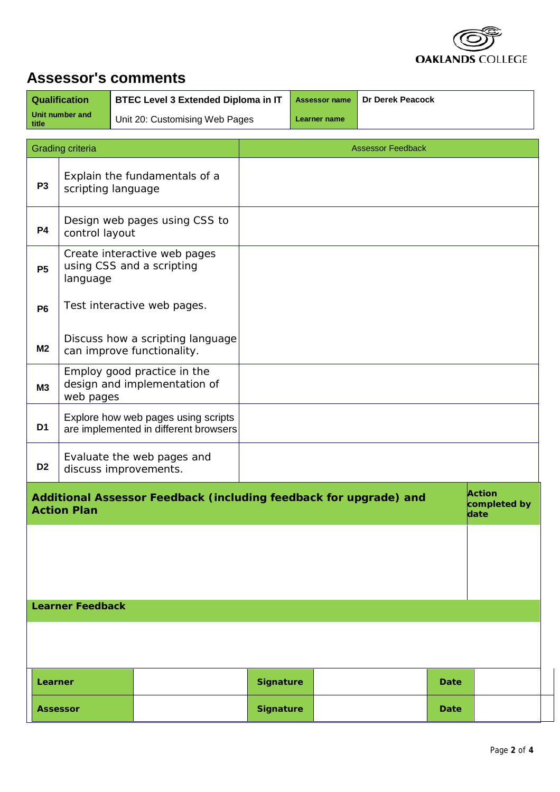

## **Assessor's comments**

| <b>Qualification</b>       | <b>BTEC Level 3 Extended Diploma in IT</b> |              | Assessor name   Dr Derek Peacock |
|----------------------------|--------------------------------------------|--------------|----------------------------------|
| Unit number and<br>  title | Unit 20: Customising Web Pages             | Learner name |                                  |

|                 | Grading criteria                      |                                                                              |                  | <b>Assessor Feedback</b>                                          |      |                                       |  |
|-----------------|---------------------------------------|------------------------------------------------------------------------------|------------------|-------------------------------------------------------------------|------|---------------------------------------|--|
| P <sub>3</sub>  | scripting language                    | Explain the fundamentals of a                                                |                  |                                                                   |      |                                       |  |
| <b>P4</b>       | control layout                        | Design web pages using CSS to                                                |                  |                                                                   |      |                                       |  |
| <b>P5</b>       | using CSS and a scripting<br>language | Create interactive web pages                                                 |                  |                                                                   |      |                                       |  |
| <b>P6</b>       |                                       | Test interactive web pages.                                                  |                  |                                                                   |      |                                       |  |
| M <sub>2</sub>  | can improve functionality.            | Discuss how a scripting language                                             |                  |                                                                   |      |                                       |  |
| M3              | web pages                             | Employ good practice in the<br>design and implementation of                  |                  |                                                                   |      |                                       |  |
| D1              |                                       | Explore how web pages using scripts<br>are implemented in different browsers |                  |                                                                   |      |                                       |  |
| D <sub>2</sub>  | discuss improvements.                 | Evaluate the web pages and                                                   |                  |                                                                   |      |                                       |  |
|                 | <b>Action Plan</b>                    |                                                                              |                  | Additional Assessor Feedback (including feedback for upgrade) and |      | <b>Action</b><br>completed by<br>date |  |
|                 |                                       |                                                                              |                  |                                                                   |      |                                       |  |
|                 |                                       |                                                                              |                  |                                                                   |      |                                       |  |
|                 | <b>Learner Feedback</b>               |                                                                              |                  |                                                                   |      |                                       |  |
|                 |                                       |                                                                              |                  |                                                                   |      |                                       |  |
| Learner         |                                       |                                                                              | <b>Signature</b> |                                                                   | Date |                                       |  |
| <b>Assessor</b> |                                       |                                                                              | <b>Signature</b> |                                                                   | Date |                                       |  |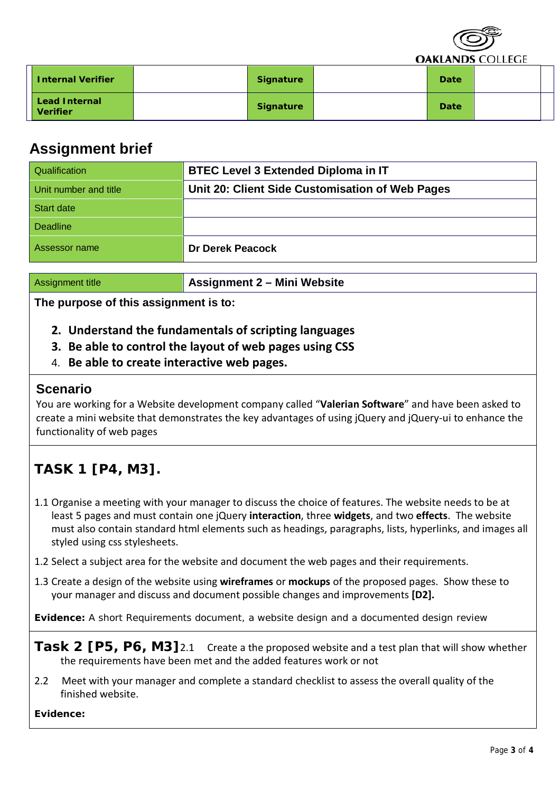|                                         |                  |      | $\sim$<br><b>OAKLANDS COLLEGE</b> |  |
|-----------------------------------------|------------------|------|-----------------------------------|--|
| <b>Internal Verifier</b>                | <b>Signature</b> | Date |                                   |  |
| <b>Lead Internal</b><br><b>Verifier</b> | <b>Signature</b> | Date |                                   |  |

### **Assignment brief**

| Qualification         | <b>BTEC Level 3 Extended Diploma in IT</b>      |
|-----------------------|-------------------------------------------------|
| Unit number and title | Unit 20: Client Side Customisation of Web Pages |
| <b>Start date</b>     |                                                 |
| Deadline              |                                                 |
| Assessor name         | <b>Dr Derek Peacock</b>                         |

Assignment title **Assignment 2 – Mini Website**

**The purpose of this assignment is to:** 

- **2. Understand the fundamentals of scripting languages**
- **3. Be able to control the layout of web pages using CSS**
- 4. **Be able to create interactive web pages.**

### **Scenario**

You are working for a Website development company called "**Valerian Software**" and have been asked to create a mini website that demonstrates the key advantages of using jQuery and jQuery-ui to enhance the functionality of web pages

## **TASK 1 [P4, M3].**

- 1.1 Organise a meeting with your manager to discuss the choice of features. The website needs to be at least 5 pages and must contain one jQuery **interaction**, three **widgets**, and two **effects**. The website must also contain standard html elements such as headings, paragraphs, lists, hyperlinks, and images all styled using css stylesheets.
- 1.2 Select a subject area for the website and document the web pages and their requirements.
- 1.3 Create a design of the website using **wireframes** or **mockups** of the proposed pages. Show these to your manager and discuss and document possible changes and improvements **[D2].**

**Evidence:** A short Requirements document, a website design and a documented design review

- **Task 2 [P5, P6, M3]**2.1 Create a the proposed website and a test plan that will show whether the requirements have been met and the added features work or not
- 2.2 Meet with your manager and complete a standard checklist to assess the overall quality of the finished website.

#### **Evidence:**

 $\longrightarrow$